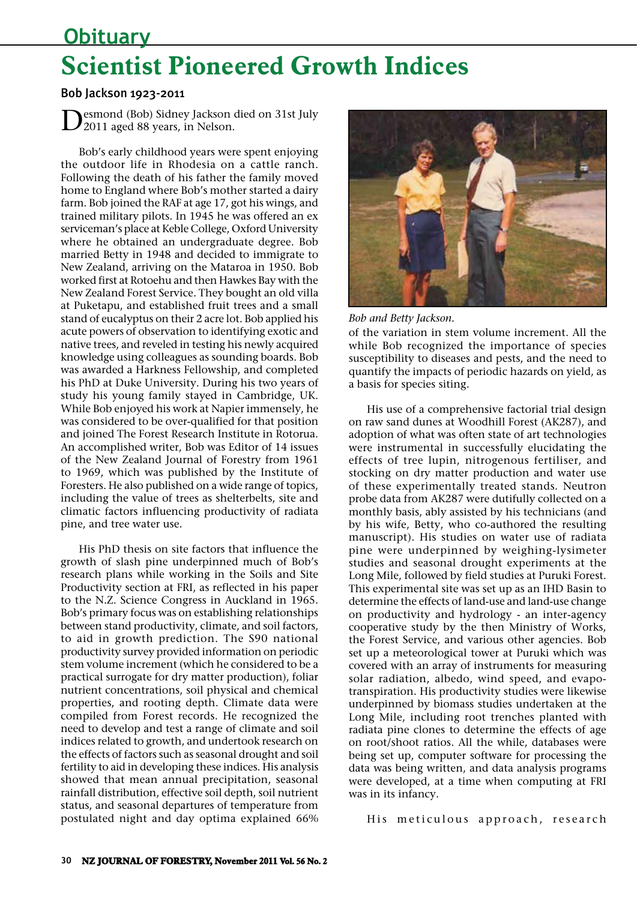# **Obituary Scientist Pioneered Growth Indices**

### Bob Jackson 1923-2011

Desmond (Bob) Sidney Jackson died on 31st July 2011 aged 88 years, in Nelson.

Bob's early childhood years were spent enjoying the outdoor life in Rhodesia on a cattle ranch. Following the death of his father the family moved home to England where Bob's mother started a dairy farm. Bob joined the RAF at age 17, got his wings, and trained military pilots. In 1945 he was offered an ex serviceman's place at Keble College, Oxford University where he obtained an undergraduate degree. Bob married Betty in 1948 and decided to immigrate to New Zealand, arriving on the Mataroa in 1950. Bob worked first at Rotoehu and then Hawkes Bay with the New Zealand Forest Service. They bought an old villa at Puketapu, and established fruit trees and a small stand of eucalyptus on their 2 acre lot. Bob applied his acute powers of observation to identifying exotic and native trees, and reveled in testing his newly acquired knowledge using colleagues as sounding boards. Bob was awarded a Harkness Fellowship, and completed his PhD at Duke University. During his two years of study his young family stayed in Cambridge, UK. While Bob enjoyed his work at Napier immensely, he was considered to be over-qualified for that position and joined The Forest Research Institute in Rotorua. An accomplished writer, Bob was Editor of 14 issues of the New Zealand Journal of Forestry from 1961 to 1969, which was published by the Institute of Foresters. He also published on a wide range of topics, including the value of trees as shelterbelts, site and climatic factors influencing productivity of radiata pine, and tree water use.

His PhD thesis on site factors that influence the growth of slash pine underpinned much of Bob's research plans while working in the Soils and Site Productivity section at FRI, as reflected in his paper to the N.Z. Science Congress in Auckland in 1965. Bob's primary focus was on establishing relationships between stand productivity, climate, and soil factors, to aid in growth prediction. The S90 national productivity survey provided information on periodic stem volume increment (which he considered to be a practical surrogate for dry matter production), foliar nutrient concentrations, soil physical and chemical properties, and rooting depth. Climate data were compiled from Forest records. He recognized the need to develop and test a range of climate and soil indices related to growth, and undertook research on the effects of factors such as seasonal drought and soil fertility to aid in developing these indices. His analysis showed that mean annual precipitation, seasonal rainfall distribution, effective soil depth, soil nutrient status, and seasonal departures of temperature from postulated night and day optima explained 66%



*Bob and Betty Jackson.*

of the variation in stem volume increment. All the while Bob recognized the importance of species susceptibility to diseases and pests, and the need to quantify the impacts of periodic hazards on yield, as a basis for species siting.

His use of a comprehensive factorial trial design on raw sand dunes at Woodhill Forest (AK287), and adoption of what was often state of art technologies were instrumental in successfully elucidating the effects of tree lupin, nitrogenous fertiliser, and stocking on dry matter production and water use of these experimentally treated stands. Neutron probe data from AK287 were dutifully collected on a monthly basis, ably assisted by his technicians (and by his wife, Betty, who co-authored the resulting manuscript). His studies on water use of radiata pine were underpinned by weighing-lysimeter studies and seasonal drought experiments at the Long Mile, followed by field studies at Puruki Forest. This experimental site was set up as an IHD Basin to determine the effects of land-use and land-use change on productivity and hydrology - an inter-agency cooperative study by the then Ministry of Works, the Forest Service, and various other agencies. Bob set up a meteorological tower at Puruki which was covered with an array of instruments for measuring solar radiation, albedo, wind speed, and evapotranspiration. His productivity studies were likewise underpinned by biomass studies undertaken at the Long Mile, including root trenches planted with radiata pine clones to determine the effects of age on root/shoot ratios. All the while, databases were being set up, computer software for processing the data was being written, and data analysis programs were developed, at a time when computing at FRI was in its infancy.

His meticulous approach, research